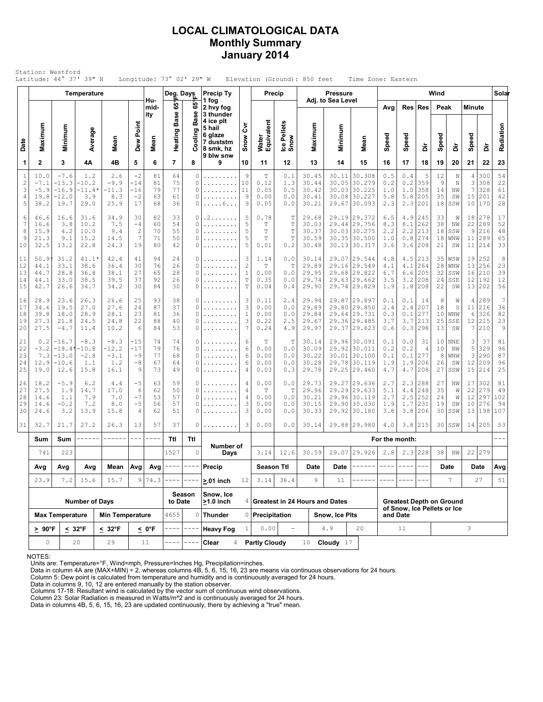### LOCAL CLIMATOLOGICAL DATA Monthly Summary January 2014

| Station: Westford<br>Latitude: 44° 37' 39" N<br>Longitude: 73° 02' 29" W<br>Elevation (Ground): 850 feet<br>Time Zone: Eastern<br>Wind<br>Temperature<br><b>Precip Ty</b><br><b>Pressure</b><br>Deg. Days<br>Precip<br>Hu-<br>Adj. to Sea Level<br>1 fog |                                          |                                                   |                                            |                                          |                                         |                            |                            |                       |                                                                       |                                      |                                             |                                   |                                           |                       |                                                                              |                                 |                                     |                                                                |                            |                                               |                                |                                       |                              |
|----------------------------------------------------------------------------------------------------------------------------------------------------------------------------------------------------------------------------------------------------------|------------------------------------------|---------------------------------------------------|--------------------------------------------|------------------------------------------|-----------------------------------------|----------------------------|----------------------------|-----------------------|-----------------------------------------------------------------------|--------------------------------------|---------------------------------------------|-----------------------------------|-------------------------------------------|-----------------------|------------------------------------------------------------------------------|---------------------------------|-------------------------------------|----------------------------------------------------------------|----------------------------|-----------------------------------------------|--------------------------------|---------------------------------------|------------------------------|
|                                                                                                                                                                                                                                                          |                                          |                                                   |                                            |                                          |                                         |                            |                            |                       |                                                                       |                                      |                                             |                                   |                                           |                       |                                                                              |                                 |                                     |                                                                |                            |                                               |                                |                                       | Solar                        |
|                                                                                                                                                                                                                                                          |                                          |                                                   |                                            |                                          |                                         | mid-<br>ity                | $\frac{5}{6}$              | 65°<br>Ф              | 2 hvy fog<br>3 thunder                                                |                                      |                                             |                                   |                                           |                       |                                                                              | Avg                             |                                     | Res Res                                                        | Peak                       |                                               | <b>Minute</b>                  |                                       |                              |
| Date                                                                                                                                                                                                                                                     | Maximum                                  | Minimum                                           | Average                                    | Mean                                     | Dew Point                               | Mean                       | <b>Base</b><br>Heating     | Bã<br>Cooling         | 4 ice plt<br>5 hail<br>6 glaze<br>7 duststm<br>8 smk, hz<br>9 blw snw | ξ<br>Snow                            | Water<br>Equivalent                         | Ice Pellets<br>Snow               | Maximum                                   | Minimum               | Mean                                                                         | Speed                           | Speed                               | à                                                              | Speed                      | à                                             | Speed                          | à                                     | Radiation                    |
| 1                                                                                                                                                                                                                                                        | $\mathbf{2}$                             | 3                                                 | 4Α                                         | 4B                                       | 5                                       | 6                          | $\overline{7}$             | 8                     | 9                                                                     | 10                                   | 11                                          | 12                                | 13                                        | 14                    | 15                                                                           | 16                              | 17                                  | 18                                                             | 19                         | 20                                            | 21                             | 22                                    | 23                           |
| $\mathbf{1}$<br>$\overline{c}$<br>3<br>4<br>5                                                                                                                                                                                                            | 10.0<br>$-7.1$<br>$-5.9$<br>19.8<br>38.2 | $-7.6$<br>$-13.3$<br>$-16.9$<br>$-12.0$<br>19.7   | 1.2<br>$-10.2$<br>$-11.4*$<br>3.9<br>29.0  | 2.6<br>$-9.9$<br>-11.3<br>8.3<br>25.9    | $-2$<br>$-14$<br>-16<br>$-2$<br>17      | 81<br>81<br>79<br>63<br>68 | 64<br>75<br>77<br>61<br>36 | 0<br>0<br>0<br>0<br>0 | .<br>.<br>.<br>. 6                                                    | $\overline{9}$<br>10<br>11<br>9<br>9 | $\mathbf T$<br>0.12<br>0.05<br>0.00<br>0.05 | 0.1<br>1.3<br>0.5<br>0.0<br>0.0   | 30.45<br>30.44<br>30.42<br>30.41<br>30.21 | 30.11<br>30.05        | 30.308<br> 30.279<br>30.0330.225<br>30.08 30.227<br>29.67 30.093             | 0.5<br>0.2<br>1.0<br>5.8<br>2.3 | 0.4<br>0.2<br>1.0<br>5.8<br>2.3     | 5<br>359<br>358<br>205<br>201                                  | 12<br>9<br>14<br>35<br>18  | $\mathbb N$<br>$\mathbb N$<br>NW<br>SW<br>SSW | 4<br>3<br>$\overline{7}$<br>15 | 300<br>308<br>328<br>201<br>10 170    | 54<br>22<br>61<br>42<br>28   |
| 6<br>7<br>8<br>9<br>10                                                                                                                                                                                                                                   | 46.6<br>16.6<br>15.9<br>21.3<br>32.5     | 16.6<br>3.8<br>4.2<br>9.1<br>13.2                 | 31.6<br>10.2<br>10.0<br>15.2<br>22.8       | 34.9<br>7.5<br>9.4<br>14.5<br>24.3       | 30<br>$-4$<br>$\overline{c}$<br>7<br>19 | 82<br>60<br>70<br>71<br>80 | 33<br>54<br>55<br>50<br>42 | 0<br>0<br>0<br>0<br>0 | . 2<br>.<br>.                                                         | 5<br>5<br>5<br>5<br>5                | 0.78<br>T<br>T<br>T<br>0.01                 | Т<br>T<br>T<br>$\mathbb T$<br>0.2 | 29.68<br>30.03<br>30.37<br>30.59<br>30.48 |                       | 29.19 29.372<br>29.44 29.756<br>30.03 30.275<br>30.35 30.500<br>30.13 30.317 | 6.5<br>8.3<br>2.2<br>1.0<br>3.6 | 4.9<br>8.1<br>2.2<br>0.8<br>3.6     | 245<br>262<br>213<br>274<br>208                                | 33<br>38<br>18<br>18<br>21 | W<br>NW<br>SSW<br>WNW<br>SW                   | 18<br>22<br>$\,9$<br>11<br>11  | 278<br>289<br>216<br>289<br>214       | 17<br>52<br>48<br>65<br>33   |
| 11<br>12<br>13<br>14<br>15                                                                                                                                                                                                                               | 50.9<br>44.1<br>44.7<br>44.1<br>42.7     | 31.2<br>33.1<br>28.8<br>33.0<br>26.6              | $41.1*$<br>38.6<br>36.8<br>38.5<br>34.7    | 42.4<br>36.4<br>38.1<br>39.5<br>34.2     | 41<br>30<br>27<br>37<br>30              | 94<br>76<br>65<br>92<br>84 | 24<br>26<br>28<br>26<br>30 | 0<br>0<br>0<br>0<br>0 | .<br>.                                                                | 3<br>$\overline{c}$<br>1<br>T<br>T   | 1.14<br>$\mathbb T$<br>0.00<br>0.35<br>0.04 | 0.0<br>T<br>0.0<br>0.0<br>0.4     | 30.14<br>29.89<br>29.95<br>29.74<br>29.90 | 29.63                 | 29.07 29.544<br>29.16 29.549<br>29.68 29.822<br> 29.662<br>29.74 29.829      | 4.8<br>4.1<br>6.7<br>3.5<br>1.9 | 4.5<br>4.1<br>6.6<br>3.2<br>1.8     | 213<br>264<br>205<br>208<br>208                                | 35<br>28<br>32<br>24<br>22 | WSW<br>WNW<br>SSW<br>SSE<br>SW                | 19<br>16<br>12                 | 252<br>13 256<br>210<br>192<br>13 202 | 8<br>23<br>39<br>12<br>56    |
| 16<br>17<br>18<br>19<br>20                                                                                                                                                                                                                               | 28.9<br>34.6<br>39.8<br>27.3<br>27.5     | 23.6<br>19.5<br>18.0<br>21.8<br>$-4.7$            | 26.3<br>27.0<br>28.9<br>24.5<br>11.4       | 26.6<br>27.6<br>28.1<br>24.8<br>10.2     | 25<br>24<br>23<br>22<br>6               | 93<br>87<br>81<br>88<br>84 | 38<br>37<br>36<br>40<br>53 | 0<br>0<br>0<br>0<br>0 | .<br>.<br>.<br>.<br>.                                                 | 3<br>3<br>$\mathbf{1}$<br>3<br>7     | 0.11<br>0.00<br>0.00<br>0.22<br>0.24        | 2.4<br>0.0<br>0.0<br>2.5<br>4.9   | 29.94<br>29.89<br>29.84<br>29.67<br>29.97 |                       | 29.87 29.897<br>29.80 29.850<br>29.64 29.731<br>29.36 29.485<br>29.37 29.623 | 0.1<br>2.4<br>0.3<br>3.7<br>0.6 | 0.1<br>2.4<br>0.1<br>3.7<br>0.3     | 14<br>207<br>277<br>213<br>298                                 | 8<br>18<br>10<br>25<br>13  | W<br>S<br>WNW<br>SSE<br>SW                    | 4<br>11<br>6<br>12<br>7        | 289<br>216<br>326<br>215<br>210       | 7<br>36<br>82<br>23<br>9     |
| 21<br>22<br>23<br>24<br>25                                                                                                                                                                                                                               | 0.2<br>$-3.2$<br>7.3<br>12.9<br>19.0     | $-16.7$<br>$-18.4'$<br>$-13.0$<br>$-10.6$<br>12.6 | $-8.3$<br>$-10.8$<br>$-2.8$<br>1.1<br>15.8 | $-8.3$<br>-12.2<br>$-3.1$<br>1.2<br>16.1 | -15<br>$-17$<br>$-9$<br>$-8$<br>9       | 74<br>79<br>77<br>67<br>73 | 74<br>76<br>68<br>64<br>49 | 0<br>0<br>0<br>0<br>0 | .<br>.<br>.                                                           | 6<br>6<br>6<br>6<br>4                | T<br>0.00<br>0.00<br>0.00<br>0.03           | Т<br>0.0<br>0.0<br>0.0<br>0.3     | 30.14<br>30.09<br>30.22<br>30.28<br>29.78 | 30.01                 | 29.96 30.091<br>29.92 30.011<br> 30.100<br>29.78 30.119<br>29.25 29.460      | 0.1<br>0.2<br>0.1<br>1.9<br>4.7 | 0.0<br>0.2<br>0.1<br>1.9<br>$4\,.7$ | 31<br>4<br>277<br>206<br>208                                   | 10<br>10<br>8<br>26<br>27  | <b>NNE</b><br>NW<br>WNW<br>SW<br>SSW          | 3<br>5<br>3<br>12<br>15        | 37<br>329<br>290<br>209<br>214        | 81<br>96<br>87<br>96<br>25   |
| 26<br>27<br>28<br>29<br>30                                                                                                                                                                                                                               | 18.2<br>27.5<br>14.6<br>14.6<br>24.6     | $-5.9$<br>1.9<br>1.1<br>$-0.2$<br>3.2             | 6.2<br>14.7<br>7.9<br>7.2<br>13.9          | 4.4<br>17.0<br>7.0<br>8.0<br>15.8        | $-5$<br>6<br>$-7$<br>$-5$<br>4          | 63<br>62<br>53<br>56<br>62 | 59<br>50<br>57<br>57<br>51 | 0<br>0<br>0<br>0<br>0 | .<br>.                                                                | 4<br>4<br>4<br>3<br>3                | 0.00<br>Т<br>0.00<br>0.00<br>0.00           | 0.0<br>T<br>0.0<br>$0.0$<br>0.0   | 29.73<br>29.96<br>30.21<br>30.15<br>30.33 | 29.90                 | 29.27 29.636<br>29.29 29.633<br>29.96 30.119<br> 30.030<br>29.92 30.180      | 2.7<br>5.1<br>2.7<br>1.9<br>3.8 | 2.3<br>4.4<br>2.5<br>1.7<br>3.8     | 288<br>248<br>252<br>231<br>206                                | 27<br>35<br>24<br>19<br>30 | ΝW<br>W<br>W<br>SW<br>SSW                     | 17<br>22<br>12                 | 302<br>279<br>297<br>10 276<br>13 198 | 81<br>49<br>102<br>94<br>107 |
| 31                                                                                                                                                                                                                                                       | 32.7                                     | 21.7                                              | 27.2                                       | 26.3                                     | 13                                      | 57                         | 37                         | 0                     | .                                                                     | 3                                    | 0.00                                        | 0.0                               | 30.14                                     |                       | 29.88 29.980                                                                 | 4.0                             | 3.8                                 | 215                                                            |                            | $30$ SSW                                      |                                | 14 205                                | 53                           |
|                                                                                                                                                                                                                                                          | Sum                                      | Sum                                               |                                            |                                          | $- - -$                                 | ----                       | Ttl                        | Ttl                   | Number of                                                             |                                      |                                             |                                   |                                           |                       |                                                                              | For the month:                  |                                     |                                                                |                            |                                               |                                |                                       |                              |
|                                                                                                                                                                                                                                                          | 741                                      | 223                                               |                                            |                                          |                                         |                            | 1527                       | $\circ$               | Days                                                                  |                                      | 3.14                                        | 12.6                              | 30.59                                     |                       | 29.07 29.926                                                                 | 2.8                             |                                     | $2.3$ 228                                                      | 38                         | NW                                            |                                | 22 279                                |                              |
|                                                                                                                                                                                                                                                          | Avg<br>Avg<br>Avg                        |                                                   | Mean   Avg                                 |                                          | Avg                                     |                            |                            | Precip                |                                                                       | <b>Season Ttl</b>                    |                                             | Date                              | Date                                      |                       |                                                                              |                                 |                                     |                                                                | Date                       |                                               | Date                           | Avg                                   |                              |
|                                                                                                                                                                                                                                                          | 23.9                                     | 7.2                                               | 15.6                                       | 15.7                                     | 9                                       | 74.3                       |                            | Season                | $> 01$ inch<br>Snow, Ice                                              | 12                                   | 3.14                                        | 36.4                              | 9                                         | 11                    |                                                                              |                                 |                                     |                                                                |                            | 7                                             |                                | 27                                    | 51                           |
|                                                                                                                                                                                                                                                          |                                          |                                                   | <b>Number of Days</b>                      |                                          |                                         |                            | to Date                    |                       | $>1.0$ inch                                                           |                                      |                                             |                                   | $4$ Greatest in 24 Hours and Dates        |                       |                                                                              |                                 |                                     | <b>Greatest Depth on Ground</b><br>of Snow, Ice Pellets or Ice |                            |                                               |                                |                                       |                              |
|                                                                                                                                                                                                                                                          |                                          | <b>Max Temperature</b>                            |                                            | <b>Min Temperature</b>                   |                                         |                            | 4655<br>----               | 0                     | <b>Thunder</b>                                                        |                                      | 0 Precipitation<br>0.00                     |                                   |                                           | Snow, Ice Plts<br>4.9 | 20                                                                           |                                 | and Date<br>11                      |                                                                |                            |                                               | 3                              |                                       |                              |
|                                                                                                                                                                                                                                                          | $\geq 90^{\circ}F$<br>0                  |                                                   | $< 32^{\circ}F$<br>20                      | $< 32^{\circ}F$<br>29                    |                                         | < 0°F<br>11                |                            |                       | <b>Heavy Fog</b><br>Clear<br>4                                        |                                      | <b>Partly Cloudy</b>                        |                                   | 10                                        | Cloudy $17$           |                                                                              |                                 |                                     |                                                                |                            |                                               |                                |                                       |                              |

NOTES:

Units are: Temperature=°F, Wind=mph, Pressure=Inches Hg, Precipitation=inches. Data in column 4A are (MAX+MIN) ÷ 2, whereas columns 4B, 5, 6, 15, 16, 23 are means via continuous observations for 24 hours.

Column 5: Dew point is calculated from temperature and humidity and is continuously averaged for 24 hours. Data in columns 9, 10, 12 are entered manually by the station observer.

Columns 17-18: Resultant wind is calculated by the vector sum of continuous wind observations.<br>Column 23: Solar Radiation is measured in Watts/m^2 and is continuously averaged for 24 hours.<br>Data in columns 4B, 5, 6, 15, 16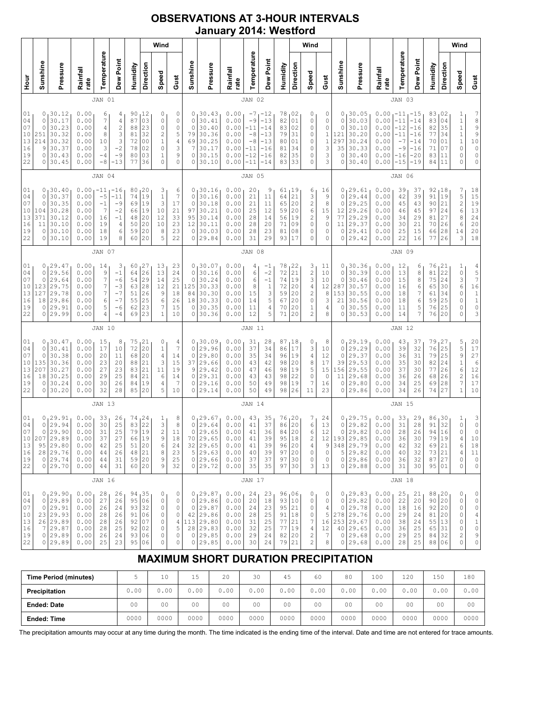## OBSERVATIONS AT 3-HOUR INTERVALS January 2014: Westford

|                                              |                                           |                                                                                   |                                                              |                                                    |                                                                      |                                              |                                                           | Wind                                                                                            |                                                                                     |                                                                  |                                                                                            |                                                              |                                                            |                                                                                  |                                                    |                                                 | Wind                                                                                          |                                                       |                                              |                                                                                        |                                                              |                                                                             |                                                                    |                                                                       |                                                           | Wind                                                                                   |                                                                                                     |
|----------------------------------------------|-------------------------------------------|-----------------------------------------------------------------------------------|--------------------------------------------------------------|----------------------------------------------------|----------------------------------------------------------------------|----------------------------------------------|-----------------------------------------------------------|-------------------------------------------------------------------------------------------------|-------------------------------------------------------------------------------------|------------------------------------------------------------------|--------------------------------------------------------------------------------------------|--------------------------------------------------------------|------------------------------------------------------------|----------------------------------------------------------------------------------|----------------------------------------------------|-------------------------------------------------|-----------------------------------------------------------------------------------------------|-------------------------------------------------------|----------------------------------------------|----------------------------------------------------------------------------------------|--------------------------------------------------------------|-----------------------------------------------------------------------------|--------------------------------------------------------------------|-----------------------------------------------------------------------|-----------------------------------------------------------|----------------------------------------------------------------------------------------|-----------------------------------------------------------------------------------------------------|
| 로                                            | Sunshine                                  | Pressure                                                                          | Rainfall<br>rate                                             | Temperature                                        | Dew Point                                                            | Humidity                                     | Direction                                                 | Speed                                                                                           | Gust                                                                                | Sunshine                                                         | Pressure                                                                                   | Rainfall<br>rate                                             | Temperature                                                | Dew Point                                                                        | Humidity                                           | Direction                                       | Speed                                                                                         | Gust                                                  | Sunshine                                     | Pressure                                                                               | Rainfall<br>rate                                             | Temperature                                                                 | Dew Point                                                          | Humidity                                                              | Direction                                                 | Speed                                                                                  | Gust                                                                                                |
|                                              |                                           |                                                                                   |                                                              | JAN 01                                             |                                                                      |                                              |                                                           |                                                                                                 |                                                                                     |                                                                  |                                                                                            |                                                              | JAN 02                                                     |                                                                                  |                                                    |                                                 |                                                                                               |                                                       |                                              |                                                                                        |                                                              | JAN 03                                                                      |                                                                    |                                                                       |                                                           |                                                                                        |                                                                                                     |
| 01<br>04<br>07<br>10<br>13<br>16<br>19<br>22 | 0<br>0<br>0<br>251<br>214<br>9<br>0<br>0  | 30.12<br>30.17<br>30.23<br>30.32<br>30.32<br>30.37<br>30.43<br>30.45              | 0.00<br>0.00<br>0.00<br>0.00<br>0.00<br>0.00<br>0.00<br>0.00 | 6<br>7<br>4<br>8<br>10<br>3<br>-4<br>$-8$          | 4<br>4<br>$\overline{\mathbf{c}}$<br>3<br>3<br>$-2$<br>$-9$<br>$-13$ | 90<br>87<br>88<br>81<br>72<br>78<br>80<br>77 | 12،<br>03<br>23<br>32<br>0 <sub>0</sub><br>02<br>03<br>36 | 0<br>$\mathbb O$<br>$\circ$<br>$\overline{c}$<br>$\mathbf 1$<br>$\circ$<br>$1\,$<br>$\mathbf 0$ | 0<br>$\circ$<br>$\circ$<br>5<br>$\overline{4}$<br>3<br>9<br>0                       | $\circ$<br>$\circ$<br>79<br>69<br>7<br>0<br>0                    | 0, 30.43<br>30.41<br>30.40<br>30.36<br>30.25<br>30.17<br>30.15<br>30.10                    | 0.00<br>0.00<br>0.00<br>0.00<br>0.00<br>0.00<br>0.00<br>0.00 | $-7$<br>$-9$<br>-11<br>$-8$<br>$-8$<br>-11<br>-12<br>$-11$ | $-12$<br>$-13$<br>$-14$<br>$-13$<br>$-13$<br>$-16$<br>$-16$<br>$-14$             | 78<br>82<br>83<br>79<br>80<br>81<br>82<br>83       | 02 ر<br>01<br>02<br>31<br>01<br>34<br>35<br>33  | 0<br>0<br>0<br>0<br>0<br>0<br>0<br>0                                                          | 0<br>0<br>0<br>$\,1\,$<br>$\,1\,$<br>3<br>3<br>3      | 0<br>0<br>0<br>121<br>297<br>35<br>0<br>0    | 30.05<br>30.03<br>30.10<br>30.20<br>30.24<br>30.33<br>30.40<br>30.40                   | 0.00<br>0.00<br>0.00<br>0.00<br>0.00<br>0.00<br>0.00<br>0.00 | <sub>1</sub> -11<br>$-11$<br>$-12$<br>$-11$<br>$-7$<br>$-9$<br>-16<br>$-15$ | $-15$<br>$-14$<br>$-16$<br>$-16$<br>$-14$<br>$-16$<br>-20<br>$-19$ | 83,02<br>83<br>82<br>77<br>70<br>71<br>83<br>84                       | 04<br>35<br>34<br>01<br>07<br>11<br>11                    | 1<br>$\mathbf 1$<br>$\mathbf{1}$<br>$\,1\,$<br>$\mathbf 1$<br>0<br>0<br>$\Omega$       | 7899<br>$\begin{matrix} 1 \ 0 \\ 0 \end{matrix}$<br>0<br>0                                          |
|                                              |                                           |                                                                                   |                                                              | JAN 04                                             |                                                                      |                                              |                                                           |                                                                                                 |                                                                                     |                                                                  |                                                                                            |                                                              | JAN 05                                                     |                                                                                  |                                                    |                                                 |                                                                                               |                                                       |                                              |                                                                                        |                                                              | JAN 06                                                                      |                                                                    |                                                                       |                                                           |                                                                                        |                                                                                                     |
| 01<br>04<br>07<br>10<br>13<br>16<br>19<br>22 | 0<br>0<br>0<br>104<br>371<br>11<br>0<br>0 | 30.40<br>30.37<br>30.35<br>30.28<br>30.12<br>30.10<br>30.10<br>30.10              | 0.00<br>0.00<br>0.00<br>0.00<br>0.00<br>0.00<br>0.00<br>0.00 | $-11$<br>$-5$<br>$-1$<br>7<br>16<br>19<br>18<br>19 | -16<br>$-11$<br>$-9$<br>$-2$<br>$-1$<br>4<br>6<br>8                  | 80<br>74<br>69<br>66<br>48<br>50<br>59<br>60 | 20<br>19<br>19<br>19<br>20<br>20<br>20<br>20              | 3<br>$\mathbf 1$<br>3<br>10<br>12<br>10<br>8<br>5                                               | 6<br>$\overline{7}$<br>17<br>21<br>33<br>23<br>23<br>22                             | 0 <sub>1</sub><br>$\circ$<br>$\circ$<br>97<br>95<br>12<br>0<br>0 | 30.16<br>30.16<br>30.18<br>30.21<br>30.14<br>30.11<br>30.03<br>29.84                       | 0.00<br>0.00<br>0.00<br>0.00<br>0.00<br>0.00<br>0.00<br>0.00 | 20<br>21<br>21<br>25<br>28<br>28<br>28<br>31               | 9<br>11<br>11<br>12<br>14<br>20<br>23<br>29                                      | 61<br>64<br>65<br>59<br>56<br>71<br>81<br>93       | 19<br>21<br>20<br>20<br>19<br>09<br>08<br>17    | 6<br>3<br>$\overline{c}$<br>6<br>2<br>$\circ$<br>0<br>0                                       | 16<br>9<br>8<br>15<br>9<br>$\circ$<br>0<br>0          | 0<br>0<br>0<br>$12 \,$<br>77<br>11<br>0<br>0 | 29.61<br>29.44<br>29.25<br>29.26<br>29.29<br>29.37<br>29.41<br>29.42                   | 0.00<br>0.00<br>0.00<br>0.00<br>0.00<br>0.00<br>0.00<br>0.00 | 39<br>42<br>45<br>46<br>34<br>30<br>25<br>22                                | 37<br>39<br>43<br>45<br>29<br>21<br>15<br>16                       | 92<br>91<br>90<br>97<br>81<br>70<br>66<br>77                          | <sub>1</sub> 18<br>19<br>21<br>24<br>27<br>26<br>28<br>26 | 7<br>5<br>$\overline{c}$<br>$\sqrt{6}$<br>8<br>$\epsilon$<br>14<br>3                   | 18<br>$1\,5$<br>19<br>$\begin{array}{c} 13 \\ 24 \end{array}$<br>20<br>20<br>$1\,8$                 |
|                                              |                                           |                                                                                   |                                                              | JAN 07                                             |                                                                      |                                              |                                                           |                                                                                                 |                                                                                     |                                                                  |                                                                                            |                                                              | JAN 08                                                     |                                                                                  |                                                    |                                                 |                                                                                               |                                                       |                                              |                                                                                        |                                                              | JAN 09                                                                      |                                                                    |                                                                       |                                                           |                                                                                        |                                                                                                     |
| 01<br>04<br>07<br>10<br>13<br>16<br>19<br>22 | 0<br>0<br>0<br>123<br>127<br>18<br>0<br>0 | 29.47<br>29.56<br>29.64<br>29.75<br>29.78<br>29.86<br>29.91<br>29.99              | 0.00<br>0.00<br>0.00<br>0.00<br>0.00<br>0.00<br>0.00<br>0.00 | 14<br>9<br>7<br>7<br>7<br>6<br>5<br>4              | 3<br>$-1$<br>$-6$<br>$-3$<br>$-7$<br>$-7$<br>-6<br>$-4$              | 60<br>64<br>54<br>63<br>51<br>55<br>62<br>69 | 27<br>26<br>29<br>28<br>26<br>25<br>23<br>23              | 13<br>13<br>14<br>12<br>9<br>6<br>$\boldsymbol{7}$<br>$\mathbf 1$                               | 23<br>24<br>25<br>21<br>18<br>26<br>15<br>10                                        | 0<br>$\circ$<br>$\circ$<br>125<br>84<br>18<br>0<br>0             | 30.07<br>30.16<br>30.24<br>30.33<br>30.30<br>30.33<br>30.35<br>30.36                       | 0.00<br>0.00<br>0.00<br>0.00<br>0.00<br>0.00<br>0.00<br>0.00 | 4<br>6<br>6<br>8<br>15<br>14<br>11<br>12                   | $-1$<br>$-2$<br>$-1$<br>$\mathbf{1}$<br>$\ensuremath{\mathsf{3}}$<br>5<br>4<br>5 | 78<br>72<br>74<br>72<br>59<br>67<br>70<br>71       | 22<br>21<br>19<br>20<br>20<br>20<br>20<br>20    | 3<br>$\overline{c}$<br>3<br>$\sqrt{4}$<br>$\overline{\mathbf{c}}$<br>0<br>1<br>$\overline{c}$ | 11<br>10<br>10<br>12<br>8<br>3<br>4<br>8              | 0<br>0<br>0<br>287<br>153<br>21<br>0<br>0    | 30.36<br>30.39<br>30.46<br>30.57<br>30.55<br>30.56<br>30.55<br>30.53                   | 0.00<br>0.00<br>0.00<br>0.00<br>0.00<br>0.00<br>0.00<br>0.00 | 12<br>13<br>15<br>16<br>18<br>18<br>11<br>14                                | 6<br>8<br>8<br>6<br>7<br>6<br>5<br>7                               | 76<br>81<br>75<br>65<br>61<br>59<br>76<br>76                          | 21<br>22<br>24<br>30<br>34<br>25<br>25<br>20              | $\mathbf{1}$<br>$\mathbb O$<br>3<br>6<br>0<br>$\circ$<br>0<br>0                        | 4<br>$\begin{array}{c} 5 \\ 7 \\ 16 \end{array}$<br>$\begin{array}{c} 1 \\ 1 \\ 0 \end{array}$<br>3 |
|                                              |                                           |                                                                                   |                                                              | <b>JAN 10</b>                                      |                                                                      |                                              |                                                           |                                                                                                 |                                                                                     |                                                                  |                                                                                            |                                                              | JAN 11                                                     |                                                                                  |                                                    |                                                 |                                                                                               |                                                       |                                              |                                                                                        |                                                              | <b>JAN 12</b>                                                               |                                                                    |                                                                       |                                                           |                                                                                        |                                                                                                     |
| 01<br>04<br>07<br>10<br>13<br>16<br>19<br>22 | 0<br>0<br>0<br>135<br>207<br>18<br>0<br>0 | 30.47<br>30.41<br>30.38<br>30.36<br>30.27<br>30.25<br>30.24<br>30.20              | 0.00<br>0.00<br>0.00<br>0.00<br>0.00<br>0.00<br>0.00<br>0.00 | 15<br>17<br>20<br>23<br>27<br>29<br>30<br>32       | 8<br>10<br>11<br>20<br>23<br>25<br>26<br>28                          | 75<br>72<br>68<br>88<br>83<br>84<br>84<br>85 | 21<br>20<br>20<br>21<br>21<br>21<br>19<br>20              | 0<br>$\mathbf 1$<br>$\sqrt{4}$<br>3<br>11<br>6<br>4<br>5                                        | 4<br>$\overline{7}$<br>14<br>15<br>19<br>14<br>7<br>10                              | $\circ$<br>$\circ$<br>37<br>9<br>0<br>0<br>0                     | 0, 30.09<br>29.96<br>29.80<br>29.66<br>29.42<br>29.31<br>29.16<br>29.14                    | 0.00<br>0.00<br>0.00<br>0.00<br>0.00<br>0.00<br>0.00<br>0.00 | 31<br>37<br>35<br>43<br>47<br>43<br>50<br>50               | 28<br>34<br>34<br>42<br>46<br>43<br>49<br>49                                     | 87,18<br>86<br>96<br>98<br>98<br>98<br>98<br>98    | 17<br>19<br>20<br>19<br>22<br>19<br>26          | 0<br>3<br>$\sqrt{4}$<br>8<br>5<br>$\circ$<br>7<br>11                                          | 8<br>10<br>12<br>17<br>15<br>$\circ$<br>16<br>23      | 0<br>0<br>0<br>39<br>156<br>11<br>0<br>0     | 129.19<br>29.29<br>29.37<br>29.53<br>29.55<br>29.68<br>29.80<br>29.86                  | 0.00<br>0.00<br>0.00<br>0.00<br>0.00<br>0.00<br>0.00<br>0.00 | 43<br>39<br>36<br>35<br>37<br>36<br>34<br>34                                | 37<br>32<br>31<br>30<br>30<br>26<br>25<br>26                       | 79<br>76<br>79<br>82<br>77<br>68<br>69<br>74                          | 27<br>25<br>25<br>24<br>26<br>26<br>28<br>27              | 5<br>$\frac{5}{9}$<br>$\,1\,$<br>6<br>$\overline{c}$<br>$\overline{7}$<br>$\mathbf{1}$ | 20<br>$\begin{array}{c} 17 \\ 27 \end{array}$<br>$\epsilon$<br>12<br>16<br>17<br>10                 |
|                                              |                                           |                                                                                   |                                                              | <b>JAN 13</b>                                      |                                                                      |                                              |                                                           |                                                                                                 |                                                                                     |                                                                  |                                                                                            |                                                              | <b>JAN 14</b>                                              |                                                                                  |                                                    |                                                 |                                                                                               |                                                       |                                              |                                                                                        |                                                              | <b>JAN 15</b>                                                               |                                                                    |                                                                       |                                                           |                                                                                        |                                                                                                     |
| 01<br>04<br>07<br>10<br>13<br>16<br>19<br>22 | 0<br>$\circ$<br>207<br>$\circ$            | 0, 29.91<br>29.94<br>29.90<br>29.89<br>95 29.80<br>28 29.76<br>29.74<br>0 29.70   | 0.00<br>0.00<br>0.00<br>0.00<br>0.00<br>0.00<br>0.00<br>0.00 | 33<br>30<br>31<br>37<br>42<br>44<br>44<br>44       | 26<br>25<br>25<br>27<br>25<br>26<br>31<br>31                         | 74<br>83<br>79<br>66<br>51<br>48 21<br>59 20 | 24<br>22<br>19<br>19<br>20<br>60 20                       | $\frac{1}{3}$<br>$\mathbf 2$<br>9<br>6<br>8<br>9<br>9                                           | 8<br>8<br>11<br>18<br>24<br>23<br>25<br>32                                          | $\mathbb O$<br>$\overline{0}$                                    | 0, 29.67<br>29.64<br>29.65<br>70 29.65<br>32 29.65<br>5 29.63<br>$0$ 29.66<br>$0$ 29.72    | 0.00<br>0.00<br>0.00<br>0.00<br>0.00<br>0.00<br>0.00<br>0.00 | 43<br>41<br>41<br>41<br>41<br>40<br>37<br>35               | 35<br>37<br>36<br>39<br>39<br>39<br>37<br>35                                     | 76<br>86<br>84<br>95<br>96<br>97<br>97<br>97       | 20 ا<br>20<br>20<br>18<br>20<br> 20<br>30<br>30 | 7<br>6<br>6<br>2<br>4<br>0<br>0<br>3                                                          | 24<br>13<br>12<br>12<br>9<br>$\circ$<br>$\circ$<br>13 | 0<br>0<br>0                                  | 129.75<br>29.82<br>29.82<br> 193 29.85<br>348 29.79<br>5 29.82<br>0 29.86<br>0 29.88   | 0.00<br>0.00<br>0.00<br>0.00<br>0.00<br>0.00<br>0.00<br>0.00 | 33<br>31<br>28<br>36<br>42<br>40<br>36<br>31                                | 29<br>28<br>26<br>30<br>32<br>32<br>32<br>30                       | 86<br>91<br>94<br>79 <br>69 21<br>73 21<br>87 27<br>95 01             | 30 ا<br>32<br>16<br>19                                    | 1<br>$\mathbb O$<br>$\mathsf{O}\xspace$<br>4<br>6<br>4<br>0<br>0                       | $\begin{array}{c} 3 \\ 0 \end{array}$<br>$\overline{0}$<br>10<br>18<br>11<br>$\mathbb O$<br>0       |
|                                              |                                           |                                                                                   |                                                              | JAN 16                                             |                                                                      |                                              |                                                           |                                                                                                 |                                                                                     |                                                                  |                                                                                            |                                                              | <b>JAN 17</b>                                              |                                                                                  |                                                    |                                                 |                                                                                               |                                                       |                                              |                                                                                        |                                                              | <b>JAN 18</b>                                                               |                                                                    |                                                                       |                                                           |                                                                                        |                                                                                                     |
| 01<br>04<br>07<br>10<br>13<br>16<br>19<br>22 | 0<br>0<br>7                               | 0, 29.90<br>29.89<br>29.91<br>23 29.93<br>26 29.89<br>29.87<br>0 29.89<br>0 29.89 | 0.00<br>0.00<br>0.00<br>0.00<br>0.00<br>0.00<br>0.00<br>0.00 | 28<br>27<br>26<br>28<br>28<br>28<br>26<br>25       | 26<br>26<br>24<br>26<br>26<br>25<br>24<br>23                         | 94<br>95<br>93<br>91<br>92<br>92<br>93<br>95 | 135<br>06<br>32<br>06<br>07<br>02<br>06<br>06             | 0<br>0<br>0<br>$\circ$<br>0<br>0<br>$\mathbb O$<br>$\circ$                                      | 0<br>0<br>0<br>$\circ$<br>$\begin{array}{c} 4 \\ 5 \end{array}$<br>$\mathbb O$<br>0 | $\circ$<br>28                                                    | 0, 29.87<br>$0$ 29.86<br>29.87<br>42 29.86<br>113 29.80<br>29.83<br>$0$ 29.85<br>$0$ 29.85 | 0.00<br>0.00<br>0.00<br>0.00<br>0.00<br>0.00<br>0.00<br>0.00 | 24<br>20<br>24<br>28<br>31<br>32<br>29<br>30               | 23<br>18<br>23<br>25<br>25<br>25<br>24<br>24                                     | 96,06<br>93 10<br>95<br>91<br>77<br>77<br>82<br>79 | 21<br> 18<br>21<br>19<br> 20<br>21              | 0<br>0<br>0<br>0<br>7<br>$\overline{4}$<br>2<br>$\overline{c}$                                | 0<br>0<br>4<br>5<br>16<br>12<br>7<br>8                | 0<br>0                                       | 129.83<br>29.82<br>0 29.78<br>278 29.76<br>253 29.67<br>40 29.65<br>0 29.68<br>0 29.68 | 0.00<br>0.00<br>0.00<br>0.00<br>0.00<br>0.00<br>0.00<br>0.00 | 25<br>22<br>18<br>29<br>38<br>36<br>29<br>28                                | 21<br>20<br>16<br>24<br>24<br>25<br>25<br>25                       | 88, 20<br>90 20<br>92 20<br>81 20<br>55 13<br>65 31<br>84 32<br>88 06 |                                                           | 0<br>0<br>0<br>0<br>0<br>0<br>2<br>0                                                   | 0<br>0<br>$\mathbb O$<br>4<br>$\begin{smallmatrix}1\\0\end{smallmatrix}$<br>9<br>$\circ$            |

# MAXIMUM SHORT DURATION PRECIPITATION

| <b>Time Period (minutes)</b> |                | 10             | 15             | 20   | 30             | 45             | 60             | 80             | 100            | 120            | 150  | 180            |
|------------------------------|----------------|----------------|----------------|------|----------------|----------------|----------------|----------------|----------------|----------------|------|----------------|
| Precipitation                | 0.00           | 0.00           | 0.00           | 0.00 | 0.00           | 0.00           | 0.00           | J.OO           | 0.00           | 0.00           | 0.00 | 0.00           |
| <b>Ended: Date</b>           | 0 <sub>0</sub> | 0 <sub>0</sub> | 0 <sub>0</sub> | 00   | 0 <sub>0</sub> | 0 <sub>0</sub> | 0 <sub>0</sub> | 0 <sup>0</sup> | 0 <sub>0</sub> | 0 <sub>0</sub> | 00   | 0 <sup>0</sup> |
| <b>Ended: Time</b>           | 0000           | 0000           | 0000           | 0000 | 0000           | 0000           | 0000           | 0000           | 0000           | 0000           | 0000 | 0000           |

The precipitation amounts may occur at any time during the month. The time indicated is the ending time of the interval. Date and time are not entered for trace amounts.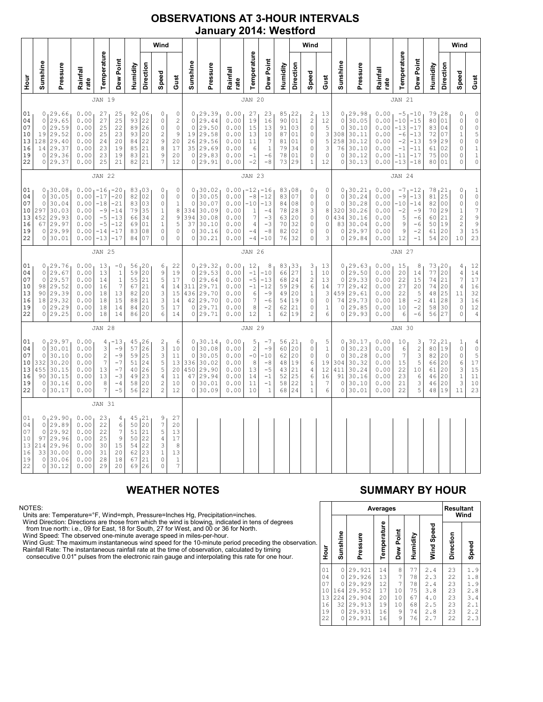### OBSERVATIONS AT 3-HOUR INTERVALS January 2014: Westford

|                                              |                                                         |                                                                                 | Wind                                                         |                                                                      |                                                                      |                                                  |                                                  | Wind                                                                                              |                                                                                 |                                                              |                                                                           |                                                              |                                                                                            |                                                                             |                                                  |                                                 | Wind                                                               |                                               |                                                                      |                                                                         |                                                              |                                                                  |                                                                         |                                              |                                                           |                                                                                           |                                                                                             |
|----------------------------------------------|---------------------------------------------------------|---------------------------------------------------------------------------------|--------------------------------------------------------------|----------------------------------------------------------------------|----------------------------------------------------------------------|--------------------------------------------------|--------------------------------------------------|---------------------------------------------------------------------------------------------------|---------------------------------------------------------------------------------|--------------------------------------------------------------|---------------------------------------------------------------------------|--------------------------------------------------------------|--------------------------------------------------------------------------------------------|-----------------------------------------------------------------------------|--------------------------------------------------|-------------------------------------------------|--------------------------------------------------------------------|-----------------------------------------------|----------------------------------------------------------------------|-------------------------------------------------------------------------|--------------------------------------------------------------|------------------------------------------------------------------|-------------------------------------------------------------------------|----------------------------------------------|-----------------------------------------------------------|-------------------------------------------------------------------------------------------|---------------------------------------------------------------------------------------------|
| Hour<br>P                                    | Sunshine                                                | Pressure                                                                        | Rainfall<br>rate                                             | Temperature                                                          | Dew Point                                                            | Humidity                                         | Direction                                        | Speed                                                                                             | Gust                                                                            | Sunshine                                                     | Pressure                                                                  | Rainfall<br>rate                                             | Temperature                                                                                | Dew Point                                                                   | Humidity                                         | Direction                                       | Speed                                                              | Gust                                          | Sunshine                                                             | Pressure                                                                | Rainfall<br>rate                                             | Temperature                                                      | Dew Point                                                               | Humidity                                     | Direction                                                 | Speed                                                                                     | Gust                                                                                        |
|                                              | <b>JAN 19</b>                                           |                                                                                 |                                                              |                                                                      |                                                                      |                                                  |                                                  |                                                                                                   |                                                                                 | <b>JAN 20</b>                                                |                                                                           |                                                              |                                                                                            |                                                                             |                                                  |                                                 |                                                                    |                                               | <b>JAN 21</b>                                                        |                                                                         |                                                              |                                                                  |                                                                         |                                              |                                                           |                                                                                           |                                                                                             |
| 01<br>04<br>07<br>10<br>13<br>16<br>19<br>22 | $\circ$<br>$\mathbf{0}$<br>19<br>128<br>14              | 0, 29.66<br>29.65<br>29.59<br>29.52<br>29.40<br>29.37<br>0 29.36<br>0 29.37     | 0.00<br>0.00<br>0.00<br>0.00<br>0.00<br>0.00<br>0.00<br>0.00 | 27<br>27<br>25<br>25<br>24<br>23<br>23<br>25                         | 25<br>25<br>22<br>23<br>20<br>19<br>19<br>21                         | 93<br>89<br>93<br>84<br>85<br>83<br>82           | 92,06<br>22<br>26<br>20<br>22<br>21<br>21<br>21  | 0<br>0<br>$\mathsf{O}\xspace$<br>$\overline{c}$<br>$\mathsf 9$<br>8<br>9<br>7                     | $\mathbb O$<br>$\sqrt{2}$<br>$\mathbb O$<br>$\mathsf 9$<br>20<br>17<br>20<br>12 | $\circ$<br>$\circ$<br>19<br>26<br>35<br>$\circ$              | 0, 29.39<br>29.44<br>29.50<br>29.58<br>29.56<br>29.69<br>29.83<br>0 29.91 | 0.00<br>0.00<br>0.00<br>0.00<br>0.00<br>0.00<br>0.00<br>0.00 | 27<br>19<br>15<br>13<br>11<br>6<br>$-1$<br>$-2$                                            | 23<br>16<br>13<br>10<br>$\overline{7}$<br>$1\,$<br>$-6$<br>$-8$             | 85, 22<br>90<br>91<br>87<br>81<br>79<br>78<br>73 | 01<br>03<br>01<br>01<br>34<br>01<br>29          | 2<br>$\overline{c}$<br>$\circ$<br>0<br>0<br>0<br>0<br>$\mathbf{1}$ | 13<br>12<br>5<br>3<br>5<br>3<br>0<br>12       | $\circ$<br>$\circ$<br>308<br>258<br>76<br>$\circ$<br>$\circ$         | 0, 29.98<br>30.05<br>30.10<br>30.11<br>30.12<br>30.10<br>30.12<br>30.13 | 0.00<br>0.00<br>0.00<br>0.00<br>0.00<br>0.00<br>0.00<br>0.00 | $-5$<br>$-10$<br>$-13$<br>$-6$<br>$-2$<br>$-1$<br>$-11$<br>$-13$ | $1 - 10$<br>$-15$<br>$-17$<br>$-13$<br>$-13$<br>$-11$<br>$-17$<br>$-18$ | 79<br>80<br>83<br>72<br>59<br>61<br>75<br>80 | 128<br>01<br>04<br>07<br>29<br>02<br>0 <sub>0</sub><br>01 | 0<br>$\circ$<br>$\circ$<br>$\mathbf{1}$<br>$\mathbb O$<br>$\mathbb O$<br>0<br>0           | $\mathbb O$<br>$0$ $0$ $5$ $0$<br>$\mathbf 1$<br>$\begin{smallmatrix}1\\0\end{smallmatrix}$ |
|                                              | <b>JAN 22</b>                                           |                                                                                 |                                                              |                                                                      |                                                                      | <b>JAN 23</b>                                    |                                                  |                                                                                                   |                                                                                 |                                                              |                                                                           |                                                              |                                                                                            |                                                                             |                                                  | <b>JAN 24</b>                                   |                                                                    |                                               |                                                                      |                                                                         |                                                              |                                                                  |                                                                         |                                              |                                                           |                                                                                           |                                                                                             |
| 01<br>04<br>07<br>10<br>13<br>16<br>19<br>22 | $\circ$<br>0<br>297<br>452<br>67<br>0                   | 0, 30.08<br>30.05<br>30.04<br>30.03<br>29.93<br>29.97<br>29.99<br>0 30.01       | 0.00<br>0.00<br>0.00<br>0.00<br>0.00<br>0.00<br>0.00<br>0.00 | $1 - 16$<br>$-17$<br>$-18$<br>$-9$<br>$-5$<br>$-5$<br>$-14$<br>$-13$ | $-20$<br>$-20$<br>$-21$<br>$-14$<br>$-13$<br>$-12$<br>$-17$<br>$-17$ | 82<br>83<br>79<br>66<br>69<br>83<br>84           | 83,03<br>02<br>03<br>35<br>34<br>01<br>08<br>07  | 0<br>0<br>0<br>$\mathbf 1$<br>$\overline{c}$<br>$1\,$<br>0<br>0                                   | 0<br>$\mathbb O$<br>$\mathbf 1$<br>8<br>$\mathsf 9$<br>5<br>0<br>0              | $\circ$<br>$\circ$<br>334<br>394<br>37<br>$\circ$<br>$\circ$ | 0, 30.02<br>30.05<br>30.07<br>30.09<br>30.08<br>30.10<br>30.16<br>30.21   | 0.00<br>0.00<br>0.00<br>0.00<br>0.00<br>0.00<br>0.00<br>0.00 | $-12$<br>$-8$<br>$-10$<br>$\mathbf{1}$<br>$\overline{7}$<br>$\overline{4}$<br>$-4$<br>$-4$ | <sub>1</sub> -16<br>$-12$<br>$-13$<br>$-4$<br>$-3$<br>$-3$<br>$-8$<br>$-10$ | 83,08<br>83<br>84<br>78<br>63<br>70<br>82<br>76  | 07<br>08<br>28<br>20<br>32<br>02<br>32          | 0<br>0<br>0<br>3<br>0<br>0<br>0<br>0                               | 0<br>0<br>0<br>8<br>$\circ$<br>0<br>0<br>3    | $\circ$<br>0<br>320<br>434<br>83<br>0<br>$\circ$                     | 0, 30.21<br>30.24<br>30.28<br>30.26<br>30.16<br>30.04<br>29.97<br>29.84 | 0.00<br>0.00<br>0.00<br>0.00<br>0.00<br>0.00<br>0.00<br>0.00 | $-7$<br>$-9$<br>$-10$<br>$-2$<br>5<br>9<br>9<br>12               | $-12$<br>$-13$<br>$-14$<br>$-9$<br>$-6$<br>$-6$<br>$-2$<br>$-1$         | 78<br>81<br>82<br>70<br>60<br>50<br>61<br>54 | 121<br>25<br>0 <sub>0</sub><br>29<br>21<br>19<br>20<br>20 | 0<br>$\mathbb O$<br>$\mathbb O$<br>$\,1\,$<br>$\overline{c}$<br>$\overline{c}$<br>3<br>10 | $\mathbf 1$<br>$\circ$<br>$\frac{0}{7}$<br>$\mathsf{S}$<br>9<br>15<br>23                    |
|                                              |                                                         |                                                                                 |                                                              | <b>JAN 25</b>                                                        |                                                                      |                                                  |                                                  |                                                                                                   |                                                                                 |                                                              |                                                                           |                                                              | <b>JAN 26</b>                                                                              |                                                                             |                                                  |                                                 |                                                                    |                                               |                                                                      |                                                                         |                                                              | <b>JAN 27</b>                                                    |                                                                         |                                              |                                                           |                                                                                           |                                                                                             |
| 01<br>04<br>07<br>10<br>13<br>16<br>19<br>22 | $\circ$<br>$\circ$<br>98<br>0                           | 0, 29.76<br>29.67<br>29.57<br>29.52<br>90 29.39<br>18 29.32<br>29.29<br>0 29.25 | 0.00<br>0.00<br>0.00<br>0.00<br>0.00<br>0.00<br>0.00<br>0.00 | 13<br>13<br>14<br>16<br>18<br>18<br>18<br>18                         | $-0$<br>$\mathbf{1}$<br>$\mathbf{1}$<br>7<br>13<br>15<br>14<br>14    | 59<br>55<br>67<br>82<br>88<br>84<br>86           | 56, 20<br>20<br>21<br>21<br>20<br>21<br>20<br>20 | 6<br>9<br>5<br>4<br>3<br>3<br>5<br>6                                                              | 22<br>19<br>17<br>14<br>15<br>14<br>17<br>14                                    | $\circ$<br>$\mathbf{0}$<br>311<br>436<br>42<br>$\circ$       | 0, 29.32<br>29.53<br>29.64<br>29.71<br>29.70<br>29.70<br>29.71<br>0 29.71 | 0.00<br>0.00<br>0.00<br>0.00<br>0.00<br>0.00<br>0.00<br>0.00 | 12<br>$-1$<br>$-5$<br>$-1$<br>6<br>7<br>8<br>12                                            | 8<br>$-10$<br>$-13$<br>$-12$<br>$-9$<br>$-6$<br>$-2$<br>$\mathbf{1}$        | 83,33<br>66<br>68<br>59<br>49<br>54<br>62<br>62  | 27<br>24<br> 29<br>20<br> 19<br>21<br>19        | 3<br>$\,1$<br>$\overline{c}$<br>6<br>1<br>0<br>0<br>$\overline{c}$ | 13<br>10<br>13<br>14<br>3<br>0<br>1<br>6      | 0<br>$\circ$<br>77<br>459<br>74<br>$\Omega$<br>0                     | 0, 29.63<br>29.50<br>29.33<br>29.42<br>29.61<br>29.73<br>29.85<br>29.93 | 0.00<br>0.00<br>0.00<br>0.00<br>0.00<br>0.00<br>0.00<br>0.00 | 15<br>20<br>22<br>27<br>22<br>18<br>10<br>6                      | 8<br>14<br>15<br>20<br>5<br>$-2$<br>$-2$<br>$-6$                        | 73<br>77<br>74<br>74<br>48<br>41<br>58<br>56 | 120<br>20<br>21<br>20<br>25<br>28<br>30<br>27             | 4<br>$\sqrt{4}$<br>$\overline{7}$<br>$\overline{4}$<br>11<br>3<br>0<br>$\Omega$           | 12<br>14<br>17<br>16<br>32<br>16<br>12<br>$\overline{4}$                                    |
|                                              |                                                         |                                                                                 |                                                              | <b>JAN 28</b>                                                        |                                                                      |                                                  |                                                  |                                                                                                   |                                                                                 |                                                              |                                                                           |                                                              | <b>JAN 29</b>                                                                              |                                                                             |                                                  |                                                 |                                                                    |                                               |                                                                      |                                                                         |                                                              | <b>JAN 30</b>                                                    |                                                                         |                                              |                                                           |                                                                                           |                                                                                             |
| 01<br>04<br>07<br>10<br>13<br>16<br>19<br>22 | 0<br>$\Omega$<br>$\circ$<br>332<br>455<br>90<br>$\circ$ | 129.97<br>30.01<br>30.10<br>30.20<br>30.15<br>30.15<br>30.16<br>0 30.17         | 0.00<br>0.00<br>0.00<br>0.00<br>0.00<br>0.00<br>0.00<br>0.00 | 4<br>3<br>$\mathbf{2}$<br>7<br>13<br>13<br>8<br>7                    | -13<br>$-9$<br>$-9$<br>$-7$<br>$-7$<br>$-3$<br>$-4$<br>$-5$          | $4\,5$<br>57<br>59<br>51<br>40<br>49<br>58<br>56 | 26<br>26<br>25<br>24<br>26<br>23<br>20<br>22     | $\overline{\mathbf{c}}$<br>3<br>3<br>5<br>5<br>$\overline{4}$<br>$\overline{c}$<br>$\overline{c}$ | 6<br>10<br>11<br>13<br>20<br>11<br>10<br>12                                     | $\mathbb O$<br>$\circ$<br>336<br>450<br>47<br>$\circ$<br>0   | 0, 30.14<br>30.08<br>30.05<br>30.02<br>29.90<br>29.94<br>30.01<br>30.09   | 0.00<br>0.00<br>0.00<br>0.00<br>0.00<br>0.00<br>0.00<br>0.00 | 5<br>$\sqrt{2}$<br>$-0$<br>8<br>13<br>14<br>11<br>10                                       | $-7$<br>$-9$<br>$-10$<br>$-8$<br>$-5$<br>$-1$<br>$-1$<br>$\mathbf{1}$       | 56<br>60<br>62<br>48<br>43<br>52<br>58<br>68     | 121<br> 20<br>20<br> 19<br>21<br>25<br>22<br>24 | 0<br>0<br>0<br>6<br>$\sqrt{4}$<br>6<br>$\mathbf{1}$<br>1           | 5<br>1<br>$\circ$<br>19<br>12<br>16<br>7<br>6 | $\Omega$<br>$\circ$<br>304<br>411<br>91<br>$\circ$<br>$\overline{0}$ | 0, 30.17<br>30.23<br>30.28<br>30.32<br>30.24<br>30.16<br>30.10<br>30.01 | 0.00<br>0.00<br>0.00<br>0.00<br>0.00<br>0.00<br>0.00<br>0.00 | 10<br>6<br>7<br>15<br>22<br>23<br>21<br>22                       | 3<br>$\sqrt{2}$<br>3<br>5<br>10<br>6<br>3<br>5                          | 72<br>80<br>82<br>66<br>61<br>46<br>46<br>48 | 21<br>19<br>20<br>20<br>20<br>20<br>20<br>19              | 1<br>$\mathbb O$<br>$\mathbb O$<br>6<br>3<br>$\mathbf 1$<br>3<br>11                       | $\begin{smallmatrix} 4 \\ 0 \end{smallmatrix}$<br>5<br>$17$<br>$15$<br>$1\,1$<br>10<br>23   |
|                                              |                                                         |                                                                                 |                                                              | <b>JAN 31</b>                                                        |                                                                      |                                                  |                                                  |                                                                                                   |                                                                                 |                                                              |                                                                           |                                                              |                                                                                            |                                                                             |                                                  |                                                 |                                                                    |                                               |                                                                      |                                                                         |                                                              |                                                                  |                                                                         |                                              |                                                           |                                                                                           |                                                                                             |
| 01<br>04<br>07<br>10<br>13<br>16<br>19<br>22 | 0<br>$\circ$<br>97<br>214<br>33<br>$\circ$              | 0, 29.90<br>29.89<br>29.92<br>29.96<br>29.96<br>30.00<br>30.06<br>0 30.12       | 0.00<br>0.00<br>0.00<br>0.00<br>0.00<br>0.00<br>0.00<br>0.00 | 23<br>22<br>22<br>25<br>30<br>31<br>28<br>29                         | 4<br>$\epsilon$<br>7<br>9<br>15<br>20<br>18<br>20                    | 50<br>51<br>50<br>54<br>62<br>67<br>69           | 45, 21<br>20<br>21<br>22<br>22<br>23<br>21<br>26 | 9<br>$\overline{\phantom{a}}$<br>5<br>$\overline{4}$<br>3<br>$1\,$<br>$\mathbb O$<br>$\Omega$     | 27<br>20<br>13<br>17<br>8<br>13<br>$\,1$<br>7                                   |                                                              |                                                                           |                                                              |                                                                                            |                                                                             |                                                  |                                                 |                                                                    |                                               |                                                                      |                                                                         |                                                              |                                                                  |                                                                         |                                              |                                                           |                                                                                           |                                                                                             |

### NOTES:

Units are: Temperature=°F, Wind=mph, Pressure=Inches Hg, Precipitation=inches.

Wind Direction: Directions are those from which the wind is blowing, indicated in tens of degrees from true north: i.e., 09 for East, 18 for South, 27 for West, and 00 or 36 for North.

Wind Speed: The observed one-minute average speed in miles-per-hour.

Wind Gust: The maximum instantaneous wind speed for the 10-minute period preceding the observation Rainfall Rate: The instantaneous rainfall rate at the time of observation, calculated by timing

consecutive 0.01" pulses from the electronic rain gauge and interpolating this rate for one hour.

### WEATHER NOTES SUMMARY BY HOUR

|    |                                              |                                                  | <b>Averages</b>                                                              | <b>Resultant</b><br>Wind                     |                                         |                                              |                                                      |                                              |                                                      |
|----|----------------------------------------------|--------------------------------------------------|------------------------------------------------------------------------------|----------------------------------------------|-----------------------------------------|----------------------------------------------|------------------------------------------------------|----------------------------------------------|------------------------------------------------------|
| ì. | Hour                                         | Sunshine                                         | Pressure                                                                     | Temperature                                  | Dew Point                               | Humidity                                     | Wind Speed                                           | Direction                                    | Speed                                                |
|    | 01<br>04<br>07<br>10<br>13<br>16<br>19<br>22 | 0<br>0<br>0<br>164<br>224<br>32<br>0<br>$\Omega$ | 29.921<br>29.926<br>29.929<br>29.952<br>29.904<br>29.913<br>29.931<br>29.931 | 14<br>13<br>12<br>17<br>20<br>19<br>16<br>16 | 8<br>7<br>7<br>10<br>10<br>10<br>9<br>9 | 77<br>78<br>78<br>75<br>67<br>68<br>74<br>76 | 2.4<br>2.3<br>2.4<br>3.8<br>4.0<br>2.5<br>2.8<br>2.7 | 23<br>22<br>23<br>23<br>23<br>23<br>23<br>22 | 1.9<br>1.8<br>1.9<br>2.8<br>3.4<br>2.1<br>2.2<br>2.3 |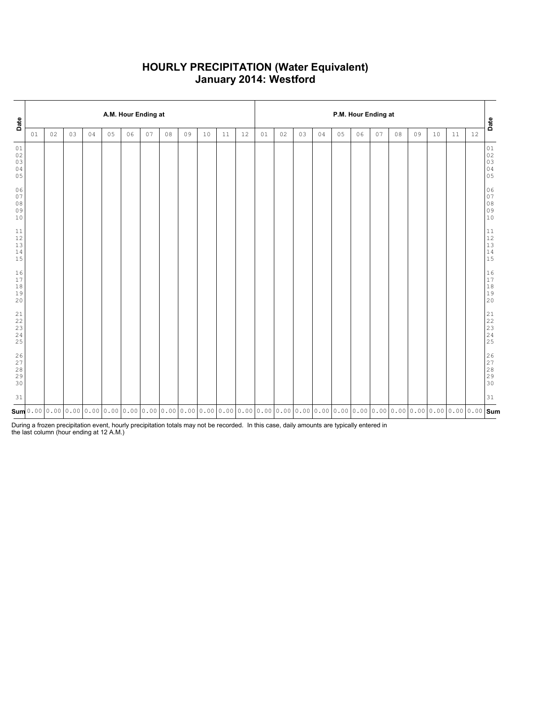### HOURLY PRECIPITATION (Water Equivalent) January 2014: Westford

| Date                                                                  |    |    |    |    |    | A.M. Hour Ending at |    |    |    |    |    |    | P.M. Hour Ending at |    |    |    |    |    |    |    |    |    |                                                                                                                                                                                                                                 |        |                                                               |
|-----------------------------------------------------------------------|----|----|----|----|----|---------------------|----|----|----|----|----|----|---------------------|----|----|----|----|----|----|----|----|----|---------------------------------------------------------------------------------------------------------------------------------------------------------------------------------------------------------------------------------|--------|---------------------------------------------------------------|
|                                                                       | 01 | 02 | 03 | 04 | 05 | 06                  | 07 | 08 | 09 | 10 | 11 | 12 | 01                  | 02 | 03 | 04 | 05 | 06 | 07 | 08 | 09 | 10 | $11\,$                                                                                                                                                                                                                          | $1\,2$ | Date                                                          |
| $0\,1$<br>02<br>03<br>04<br>05                                        |    |    |    |    |    |                     |    |    |    |    |    |    |                     |    |    |    |    |    |    |    |    |    |                                                                                                                                                                                                                                 |        | $0\,1$<br>$\begin{array}{c} 02 \\ 03 \end{array}$<br>04<br>05 |
| 06<br>07<br>$0\,8$<br>09<br>$10$                                      |    |    |    |    |    |                     |    |    |    |    |    |    |                     |    |    |    |    |    |    |    |    |    |                                                                                                                                                                                                                                 |        | 06<br>$0\,7$<br>$0\,8$<br>09<br>10                            |
| $11\,$<br>$12\,$<br>$13$<br>$1\,4$<br>15                              |    |    |    |    |    |                     |    |    |    |    |    |    |                     |    |    |    |    |    |    |    |    |    |                                                                                                                                                                                                                                 |        | $11\,$<br>$12$<br>$13$<br>$14$<br>$15$                        |
| 16<br>$17\,$<br>$1\,8$<br>19<br>20                                    |    |    |    |    |    |                     |    |    |    |    |    |    |                     |    |    |    |    |    |    |    |    |    |                                                                                                                                                                                                                                 |        | 16<br>$17$<br>$1\,8$<br>19<br>20                              |
| $\begin{array}{c} 21 \\ 22 \end{array}$<br>23<br>24<br>25             |    |    |    |    |    |                     |    |    |    |    |    |    |                     |    |    |    |    |    |    |    |    |    |                                                                                                                                                                                                                                 |        | $21$<br>$22$<br>$23$<br>$24$<br>25                            |
| $\begin{array}{c} 2 \, 6 \\ 2 \, 7 \end{array}$<br>$2\,8$<br>29<br>30 |    |    |    |    |    |                     |    |    |    |    |    |    |                     |    |    |    |    |    |    |    |    |    |                                                                                                                                                                                                                                 |        | 26<br>27<br>28<br>29<br>30                                    |
| 31                                                                    |    |    |    |    |    |                     |    |    |    |    |    |    |                     |    |    |    |    |    |    |    |    |    |                                                                                                                                                                                                                                 |        | 31                                                            |
|                                                                       |    |    |    |    |    |                     |    |    |    |    |    |    |                     |    |    |    |    |    |    |    |    |    | Sum  0 . 00   0 . 00   0 . 00   0 . 00   0 . 00   0 . 00   0 . 00   0 . 00   0 . 00   0 . 00   0 . 00   0 . 00  0 . 00  0 . 00  0 . 00  0 . 00  0 . 00  0 . 00  0 . 00  0 . 00  0 . 00  0<br>Sum  0 . 00   0 . 00   0 . 00  0 . |        |                                                               |

During a frozen precipitation event, hourly precipitation totals may not be recorded. In this case, daily amounts are typically entered in the last column (hour ending at 12 A.M.)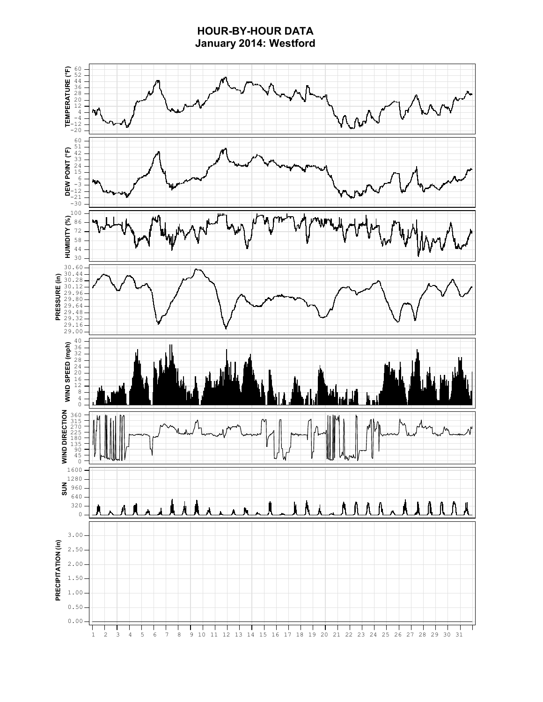# HOUR-BY-HOUR DATA January 2014: Westford